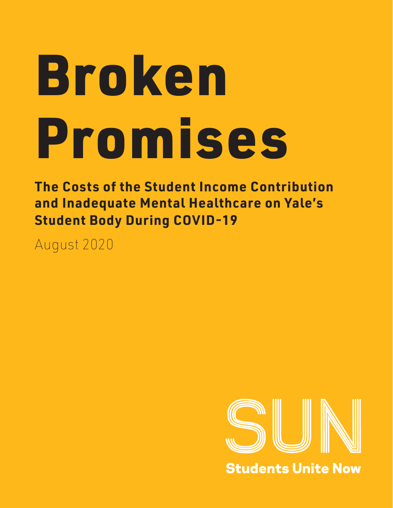# Broken Promises

**The Costs of the Student Income Contribution and Inadequate Mental Healthcare on Yale's Student Body During COVID-19**

August 2020



**Students Unite Now**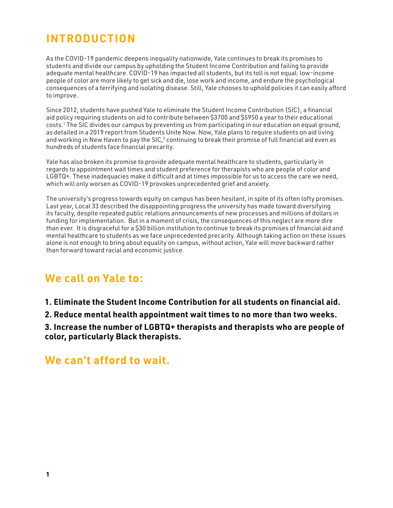# **INTRODUCTION**

As the COVID-19 pandemic deepens inequality nationwide, Yale continues to break its promises to students and divide our campus by upholding the Student Income Contribution and failing to provide adequate mental healthcare. COVID-19 has impacted all students, but its toll is not equal: low-income people of color are more likely to get sick and die, lose work and income, and endure the psychological consequences of a terrifying and isolating disease. Still, Yale chooses to uphold policies it can easily afford to improve.

Since 2012, students have pushed Yale to eliminate the Student Income Contribution (SIC), a financial aid policy requiring students on aid to contribute between \$3700 and \$5950 a year to their educational costs.1 The SIC divides our campus by preventing us from participating in our education on equal ground, as detailed in a 2019 report from Students Unite Now. Now, Yale plans to require students on aid living and working in New Haven to pay the SIC, $^2$  continuing to break their promise of full financial aid even as hundreds of students face financial precarity.

Yale has also broken its promise to provide adequate mental healthcare to students, particularly in regards to appointment wait times and student preference for therapists who are people of color and LGBTQ+. These inadequacies make it difficult and at times impossible for us to access the care we need, which will only worsen as COVID-19 provokes unprecedented grief and anxiety.

The university's progress towards equity on campus has been hesitant, in spite of its often lofty promises. Last year, Local 33 described the disappointing progress the university has made toward diversifying its faculty, despite repeated public relations announcements of new processes and millions of dollars in funding for implementation. But in a moment of crisis, the consequences of this neglect are more dire than ever. It is disgraceful for a \$30 billion institution to continue to break its promises of financial aid and mental healthcare to students as we face unprecedented precarity. Although taking action on these issues alone is not enough to bring about equality on campus, without action, Yale will move backward rather than forward toward racial and economic justice.

## **We call on Yale to:**

**1. Eliminate the Student Income Contribution for all students on financial aid.**

**2. Reduce mental health appointment wait times to no more than two weeks.**

**3. Increase the number of LGBTQ+ therapists and therapists who are people of color, particularly Black therapists.**

## **We can't afford to wait.**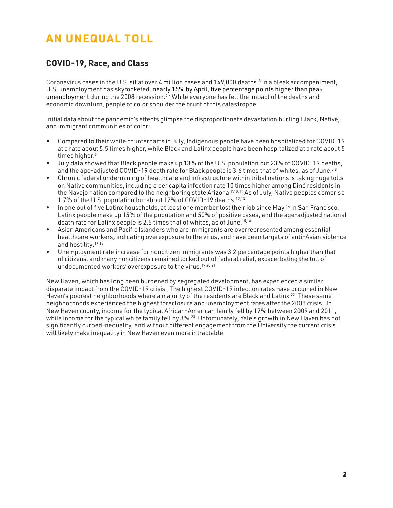# **AN UNEQUAL TOLL**

## **COVID-19, Race, and Class**

Coronavirus cases in the U.S. sit at over 4 million cases and 149,000 deaths.<sup>3</sup> In a bleak accompaniment, U.S. unemployment has skyrocketed, nearly 15% by April, five percentage points higher than peak unemployment during the 2008 recession.<sup>4,5</sup> While everyone has felt the impact of the deaths and economic downturn, people of color shoulder the brunt of this catastrophe.

Initial data about the pandemic's effects glimpse the disproportionate devastation hurting Black, Native, and immigrant communities of color:

- Compared to their white counterparts in July, Indigenous people have been hospitalized for COVID-19 at a rate about 5.5 times higher, while Black and Latinx people have been hospitalized at a rate about 5 times higher.<sup>6</sup>
- July data showed that Black people make up 13% of the U.S. population but 23% of COVID-19 deaths, and the age-adjusted COVID-19 death rate for Black people is 3.6 times that of whites, as of June.<sup>7,8</sup>
- Chronic federal undermining of healthcare and infrastructure within tribal nations is taking huge tolls on Native communities, including a per capita infection rate 10 times higher among Diné residents in the Navajo nation compared to the neighboring state Arizona.<sup>9,10,11</sup> As of July, Native peoples comprise 1.7% of the U.S. population but about 12% of COVID-19 deaths.12,13
- In one out of five Latinx households, at least one member lost their job since May.<sup>14</sup> In San Francisco, Latinx people make up 15% of the population and 50% of positive cases, and the age-adjusted national death rate for Latinx people is 2.5 times that of whites, as of June.<sup>15,16</sup>
- Asian Americans and Pacific Islanders who are immigrants are overrepresented among essential healthcare workers, indicating overexposure to the virus, and have been targets of anti-Asian violence and hostility.17,18
- Unemployment rate increase for noncitizen immigrants was 3.2 percentage points higher than that of citizens, and many noncitizens remained locked out of federal relief, excacerbating the toll of undocumented workers' overexposure to the virus.19,20,21

New Haven, which has long been burdened by segregated development, has experienced a similar disparate impact from the COVID-19 crisis. The highest COVID-19 infection rates have occurred in New Haven's poorest neighborhoods where a majority of the residents are Black and Latinx.<sup>22</sup> These same neighborhoods experienced the highest foreclosure and unemployment rates after the 2008 crisis. In New Haven county, income for the typical African-American family fell by 17% between 2009 and 2011, while income for the typical white family fell by 3%.<sup>23</sup> Unfortunately, Yale's growth in New Haven has not significantly curbed inequality, and without different engagement from the University the current crisis will likely make inequality in New Haven even more intractable.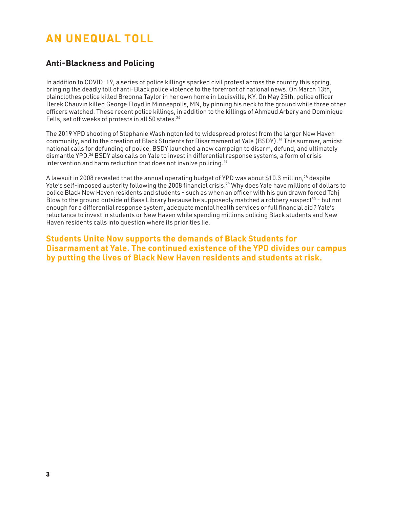# **AN UNEQUAL TOLL**

### **Anti-Blackness and Policing**

In addition to COVID-19, a series of police killings sparked civil protest across the country this spring, bringing the deadly toll of anti-Black police violence to the forefront of national news. On March 13th, plainclothes police killed Breonna Taylor in her own home in Louisville, KY. On May 25th, police officer Derek Chauvin killed George Floyd in Minneapolis, MN, by pinning his neck to the ground while three other officers watched. These recent police killings, in addition to the killings of Ahmaud Arbery and Dominique Fells, set off weeks of protests in all 50 states.<sup>24</sup>

The 2019 YPD shooting of Stephanie Washington led to widespread protest from the larger New Haven community, and to the creation of Black Students for Disarmament at Yale (BSDY).25 This summer, amidst national calls for defunding of police, BSDY launched a new campaign to disarm, defund, and ultimately dismantle YPD.<sup>26</sup> BSDY also calls on Yale to invest in differential response systems, a form of crisis intervention and harm reduction that does not involve policing.<sup>27</sup>

A lawsuit in 2008 revealed that the annual operating budget of YPD was about \$10.3 million,28 despite Yale's self-imposed austerity following the 2008 financial crisis.29 Why does Yale have millions of dollars to police Black New Haven residents and students - such as when an officer with his gun drawn forced Tahj Blow to the ground outside of Bass Library because he supposedly matched a robbery suspect<sup>30</sup> - but not enough for a differential response system, adequate mental health services or full financial aid? Yale's reluctance to invest in students or New Haven while spending millions policing Black students and New Haven residents calls into question where its priorities lie.

**Students Unite Now supports the demands of Black Students for Disarmament at Yale. The continued existence of the YPD divides our campus by putting the lives of Black New Haven residents and students at risk.**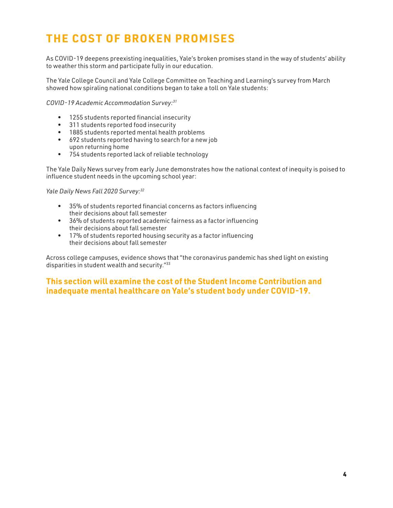# **THE COST OF BROKEN PROMISES**

As COVID-19 deepens preexisting inequalities, Yale's broken promises stand in the way of students' ability to weather this storm and participate fully in our education.

The Yale College Council and Yale College Committee on Teaching and Learning's survey from March showed how spiraling national conditions began to take a toll on Yale students:

*COVID-19 Academic Accommodation Survey:31*

- 1255 students reported financial insecurity
- 311 students reported food insecurity
- 1885 students reported mental health problems
- 692 students reported having to search for a new job upon returning home
- 754 students reported lack of reliable technology

The Yale Daily News survey from early June demonstrates how the national context of inequity is poised to influence student needs in the upcoming school year:

*Yale Daily News Fall 2020 Survey:32*

- 35% of students reported financial concerns as factors influencing their decisions about fall semester
- 36% of students reported academic fairness as a factor influencing their decisions about fall semester
- 17% of students reported housing security as a factor influencing their decisions about fall semester

Across college campuses, evidence shows that "the coronavirus pandemic has shed light on existing disparities in student wealth and security."33

#### **This section will examine the cost of the Student Income Contribution and inadequate mental healthcare on Yale's student body under COVID-19.**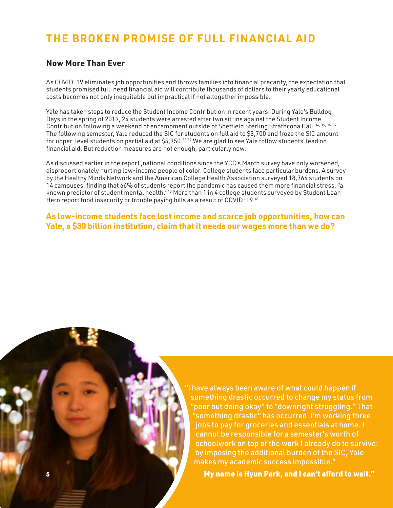## **THE BROKEN PROMISE OF FULL FINANCIAL AID**

### **Now More Than Ever**

As COVID-19 eliminates job opportunities and throws families into financial precarity, the expectation that students promised full-need financial aid will contribute thousands of dollars to their yearly educational costs becomes not only inequitable but impractical if not altogether impossible.

Yale has taken steps to reduce the Student Income Contribution in recent years. During Yale's Bulldog Days in the spring of 2019, 24 students were arrested after two sit-ins against the Student Income Contribution following a weekend of encampment outside of Sheffield Sterling Strathcona Hall.<sup>34, 35, 36, 37</sup> The following semester, Yale reduced the SIC for students on full aid to \$3,700 and froze the SIC amount for upper-level students on partial aid at \$5,950.38,39 We are glad to see Yale follow students' lead on financial aid. But reduction measures are not enough, particularly now.

As discussed earlier in the report, national conditions since the YCC's March survey have only worsened, disproportionately hurting low-income people of color. College students face particular burdens. A survey by the Healthy Minds Network and the American College Health Association surveyed 18,764 students on 14 campuses, finding that 66% of students report the pandemic has caused them more financial stress, "a known predictor of student mental health."40 More than 1 in 4 college students surveyed by Student Loan Hero report food insecurity or trouble paying bills as a result of COVID-19.<sup>41</sup>

**As low-income students face lost income and scarce job opportunities, how can Yale, a \$30 billion institution, claim that it needs our wages more than we do?** 

> "I have always been aware of what could happen if something drastic occurred to change my status from "poor but doing okay" to "downright struggling." That "something drastic" has occurred. I'm working three jobs to pay for groceries and essentials at home. I cannot be responsible for a semester's worth of schoolwork on top of the work I already do to survive: by imposing the additional burden of the SIC, Yale makes my academic success impossible."

5 My name is Hyun Park, and I can't afford to wait."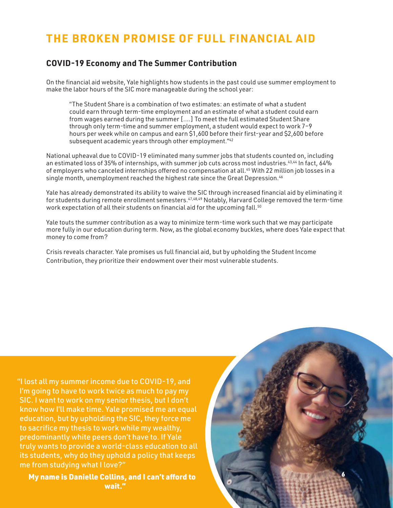## **THE BROKEN PROMISE OF FULL FINANCIAL AID**

#### **COVID-19 Economy and The Summer Contribution**

On the financial aid website, Yale highlights how students in the past could use summer employment to make the labor hours of the SIC more manageable during the school year:

"The Student Share is a combination of two estimates: an estimate of what a student could earn through term-time employment and an estimate of what a student could earn from wages earned during the summer [....] To meet the full estimated Student Share through only term-time and summer employment, a student would expect to work 7–9 hours per week while on campus and earn \$1,600 before their first-year and \$2,600 before subsequent academic years through other employment."42

National upheaval due to COVID-19 eliminated many summer jobs that students counted on, including an estimated loss of 35% of internships, with summer job cuts across most industries.<sup>43,44</sup> In fact, 64% of employers who canceled internships offered no compensation at all.<sup>45</sup> With 22 million job losses in a single month, unemployment reached the highest rate since the Great Depression.<sup>46</sup>

Yale has already demonstrated its ability to waive the SIC through increased financial aid by eliminating it for students during remote enrollment semesters.47,48,49 Notably, Harvard College removed the term-time work expectation of all their students on financial aid for the upcoming fall.<sup>50</sup>

Yale touts the summer contribution as a way to minimize term-time work such that we may participate more fully in our education during term. Now, as the global economy buckles, where does Yale expect that money to come from?

Crisis reveals character. Yale promises us full financial aid, but by upholding the Student Income Contribution, they prioritize their endowment over their most vulnerable students.

"I lost all my summer income due to COVID-19, and I'm going to have to work twice as much to pay my SIC. I want to work on my senior thesis, but I don't know how I'll make time. Yale promised me an equal education, but by upholding the SIC, they force me to sacrifice my thesis to work while my wealthy, predominantly white peers don't have to. If Yale truly wants to provide a world-class education to all its students, why do they uphold a policy that keeps me from studying what I love?"

My name is Danielle Collins, and I can't afford to wait."

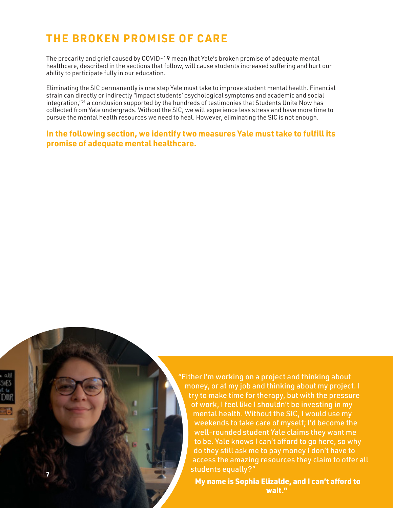7

The precarity and grief caused by COVID-19 mean that Yale's broken promise of adequate mental healthcare, described in the sections that follow, will cause students increased suffering and hurt our ability to participate fully in our education.

Eliminating the SIC permanently is one step Yale must take to improve student mental health. Financial strain can directly or indirectly "impact students' psychological symptoms and academic and social integration,"51 a conclusion supported by the hundreds of testimonies that Students Unite Now has collected from Yale undergrads. Without the SIC, we will experience less stress and have more time to pursue the mental health resources we need to heal. However, eliminating the SIC is not enough.

#### **In the following section, we identify two measures Yale must take to fulfill its promise of adequate mental healthcare.**

"Either I'm working on a project and thinking about money, or at my job and thinking about my project. I try to make time for therapy, but with the pressure of work, I feel like I shouldn't be investing in my mental health. Without the SIC, I would use my weekends to take care of myself; I'd become the well-rounded student Yale claims they want me to be. Yale knows I can't afford to go here, so why do they still ask me to pay money I don't have to access the amazing resources they claim to offer all students equally?"

My name is Sophia Elizalde, and I can't afford to wait."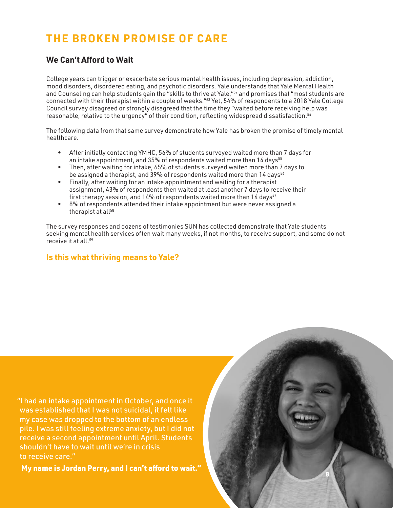#### **We Can't Afford to Wait**

College years can trigger or exacerbate serious mental health issues, including depression, addiction, mood disorders, disordered eating, and psychotic disorders. Yale understands that Yale Mental Health and Counseling can help students gain the "skills to thrive at Yale,"52 and promises that "most students are connected with their therapist within a couple of weeks."53 Yet, 54% of respondents to a 2018 Yale College Council survey disagreed or strongly disagreed that the time they "waited before receiving help was reasonable, relative to the urgency" of their condition, reflecting widespread dissatisfaction.54

The following data from that same survey demonstrate how Yale has broken the promise of timely mental healthcare.

- After initially contacting YMHC, 56% of students surveyed waited more than 7 days for an intake appointment, and 35% of respondents waited more than 14 days<sup>55</sup>
- Then, after waiting for intake, 65% of students surveyed waited more than 7 days to be assigned a therapist, and 39% of respondents waited more than 14 days<sup>56</sup>
- Finally, after waiting for an intake appointment and waiting for a therapist assignment, 43% of respondents then waited at least another 7 days to receive their first therapy session, and 14% of respondents waited more than 14 days<sup>57</sup>
- 8% of respondents attended their intake appointment but were never assigned a therapist at all<sup>58</sup>

The survey responses and dozens of testimonies SUN has collected demonstrate that Yale students seeking mental health services often wait many weeks, if not months, to receive support, and some do not receive it at all.59

8

### **Is this what thriving means to Yale?**

"I had an intake appointment in October, and once it was established that I was not suicidal, it felt like my case was dropped to the bottom of an endless pile. I was still feeling extreme anxiety, but I did not receive a second appointment until April. Students shouldn't have to wait until we're in crisis to receive care."

My name is Jordan Perry, and I can't afford to wait."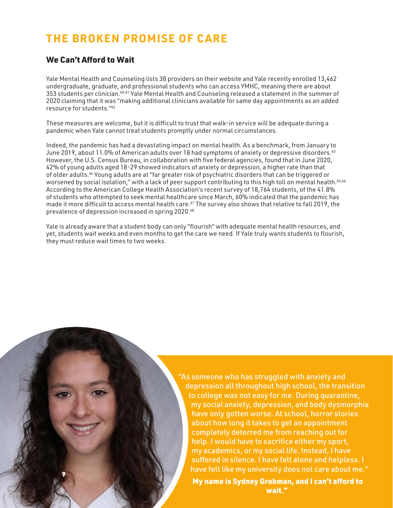#### We Can't Afford to Wait

9

Yale Mental Health and Counseling lists 38 providers on their website and Yale recently enrolled 13,462 undergraduate, graduate, and professional students who can access YMHC, meaning there are about 353 students per clinician.<sup>60,61</sup> Yale Mental Health and Counseling released a statement in the summer of 2020 claiming that it was "making additional clinicians available for same day appointments as an added resource for students."62

These measures are welcome, but it is difficult to trust that walk-in service will be adequate during a pandemic when Yale cannot treat students promptly under normal circumstances.

Indeed, the pandemic has had a devastating impact on mental health. As a benchmark, from January to June 2019, about 11.0% of American adults over 18 had symptoms of anxiety or depressive disorders.<sup>63</sup> However, the U.S. Census Bureau, in collaboration with five federal agencies, found that in June 2020, 42% of young adults aged 18-29 showed indicators of anxiety or depression, a higher rate than that of older adults.64 Young adults are at "far greater risk of psychiatric disorders that can be triggered or worsened by social isolation," with a lack of peer support contributing to this high toll on mental health.<sup>65,66</sup> According to the American College Health Association's recent survey of 18,764 students, of the 41.8% of students who attempted to seek mental healthcare since March, 60% indicated that the pandemic has made it more difficult to access mental health care.<sup>67</sup> The survey also shows that relative to fall 2019, the prevalence of depression increased in spring 2020.68

Yale is already aware that a student body can only "flourish" with adequate mental health resources, and yet, students wait weeks and even months to get the care we need. If Yale truly wants students to flourish, they must reduce wait times to two weeks.

> "As someone who has struggled with anxiety and depression all throughout high school, the transition to college was not easy for me. During quarantine, my social anxiety, depression, and body dysmorphia have only gotten worse. At school, horror stories about how long it takes to get an appointment completely deterred me from reaching out for help. I would have to sacrifice either my sport, my academics, or my social life. Instead, I have suffered in silence. I have felt alone and helpless. I have felt like my university does not care about me."

My name is Sydney Grobman, and I can't afford to wait."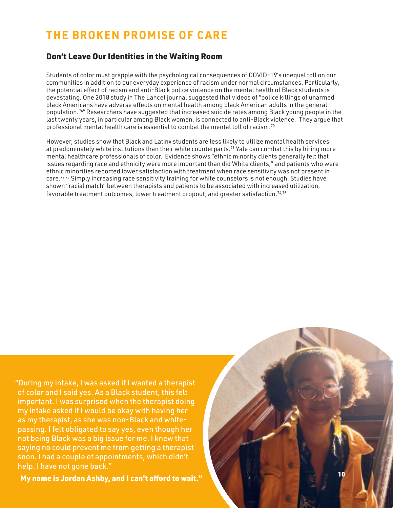## Don't Leave Our Identities in the Waiting Room

Students of color must grapple with the psychological consequences of COVID-19's unequal toll on our communities in addition to our everyday experience of racism under normal circumstances. Particularly, the potential effect of racism and anti-Black police violence on the mental health of Black students is devastating. One 2018 study in The Lancet journal suggested that videos of "police killings of unarmed black Americans have adverse effects on mental health among black American adults in the general population."69 Researchers have suggested that increased suicide rates among Black young people in the last twenty years, in particular among Black women, is connected to anti-Black violence. They argue that professional mental health care is essential to combat the mental toll of racism.70

However, studies show that Black and Latinx students are less likely to utilize mental health services at predominately white institutions than their white counterparts.<sup>71</sup> Yale can combat this by hiring more mental healthcare professionals of color. Evidence shows "ethnic minority clients generally felt that issues regarding race and ethnicity were more important than did White clients," and patients who were ethnic minorities reported lower satisfaction with treatment when race sensitivity was not present in care.<sup>72,73</sup> Simply increasing race sensitivity training for white counselors is not enough. Studies have shown "racial match" between therapists and patients to be associated with increased utilization, favorable treatment outcomes, lower treatment dropout, and greater satisfaction.<sup>74,75</sup>

"During my intake, I was asked if I wanted a therapist of color and I said yes. As a Black student, this felt important. I was surprised when the therapist doing my intake asked if I would be okay with having her as my therapist, as she was non-Black and whitepassing. I felt obligated to say yes, even though her not being Black was a big issue for me. I knew that saying no could prevent me from getting a therapist soon. I had a couple of appointments, which didn't help. I have not gone back."

My name is Jordan Ashby, and I can't afford to wait."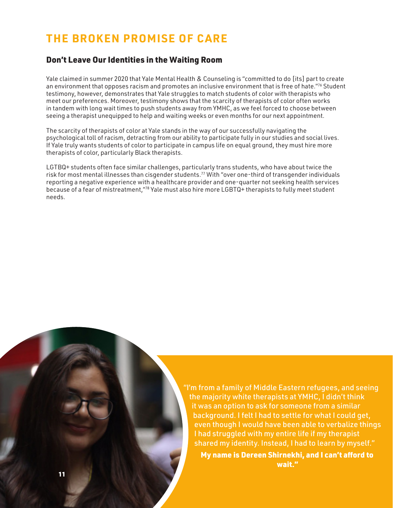#### Don't Leave Our Identities in the Waiting Room

Yale claimed in summer 2020 that Yale Mental Health & Counseling is "committed to do [its] part to create an environment that opposes racism and promotes an inclusive environment that is free of hate."<sup>76</sup> Student testimony, however, demonstrates that Yale struggles to match students of color with therapists who meet our preferences. Moreover, testimony shows that the scarcity of therapists of color often works in tandem with long wait times to push students away from YMHC, as we feel forced to choose between seeing a therapist unequipped to help and waiting weeks or even months for our next appointment.

The scarcity of therapists of color at Yale stands in the way of our successfully navigating the psychological toll of racism, detracting from our ability to participate fully in our studies and social lives. If Yale truly wants students of color to participate in campus life on equal ground, they must hire more therapists of color, particularly Black therapists.

LGTBQ+ students often face similar challenges, particularly trans students, who have about twice the risk for most mental illnesses than cisgender students.77 With "over one-third of transgender individuals reporting a negative experience with a healthcare provider and one-quarter not seeking health services because of a fear of mistreatment,"78 Yale must also hire more LGBTQ+ therapists to fully meet student needs.

> "I'm from a family of Middle Eastern refugees, and seeing the majority white therapists at YMHC, I didn't think it was an option to ask for someone from a similar background. I felt I had to settle for what I could get, even though I would have been able to verbalize things I had struggled with my entire life if my therapist shared my identity. Instead, I had to learn by myself."

My name is Dereen Shirnekhi, and I can't afford to wait."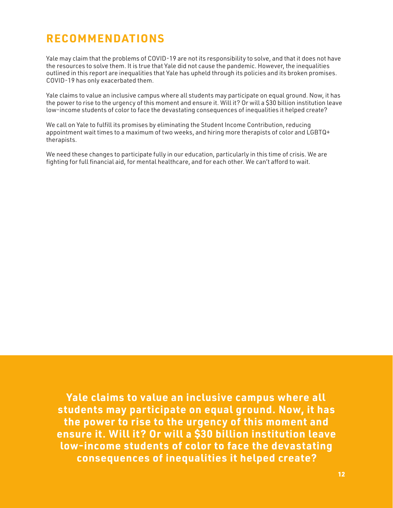## **RECOMMENDATIONS**

Yale may claim that the problems of COVID-19 are not its responsibility to solve, and that it does not have the resources to solve them. It is true that Yale did not cause the pandemic. However, the inequalities outlined in this report are inequalities that Yale has upheld through its policies and its broken promises. COVID-19 has only exacerbated them.

Yale claims to value an inclusive campus where all students may participate on equal ground. Now, it has the power to rise to the urgency of this moment and ensure it. Will it? Or will a \$30 billion institution leave low-income students of color to face the devastating consequences of inequalities it helped create?

We call on Yale to fulfill its promises by eliminating the Student Income Contribution, reducing appointment wait times to a maximum of two weeks, and hiring more therapists of color and LGBTQ+ therapists.

We need these changes to participate fully in our education, particularly in this time of crisis. We are fighting for full financial aid, for mental healthcare, and for each other. We can't afford to wait.

**Yale claims to value an inclusive campus where all students may participate on equal ground. Now, it has the power to rise to the urgency of this moment and ensure it. Will it? Or will a \$30 billion institution leave low-income students of color to face the devastating consequences of inequalities it helped create?**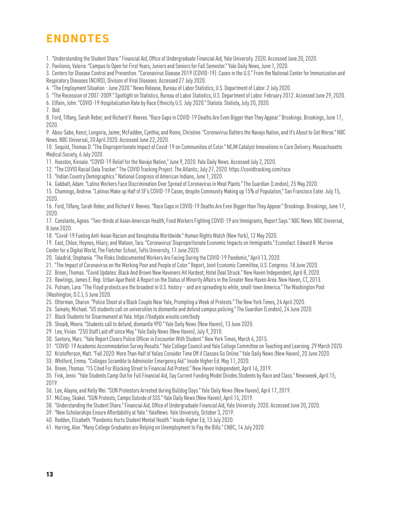## **ENDNOTES**

1. "Understanding the Student Share." Financial Aid, Office of Undergraduate Financial Aid, Yale University. 2020. Accessed June 20, 2020.

2. Pavilonis, Valerie. "Campus to Open for First Years, Juniors and Seniors for Fall Semester." Yale Daily News, June 1, 2020.

3. Centers for Disease Control and Prevention. "Coronavirus Disease 2019 (COVID-19): Cases in the U.S." From the National Center for Immunization and Respiratory Diseases (NCIRD), Division of Viral Diseases. Accessed 27 July 2020.

4. "The Employment Situation - June 2020." News Release, Bureau of Labor Statistics, U.S. Department of Labor. 2 July 2020.

5. "The Recession of 2007-2009." Spotlight on Statistics, Bureau of Labor Statistics, U.S. Department of Labor. February 2012. Accessed June 29, 2020.

6. Elflein, John. "COVID-19 Hospitalization Rate by Race Ethnicity U.S. July 2020." Statista. Statista, July 20, 2020.

7. Ibid.

8. Ford, Tiffany, Sarah Reber, and Richard V. Reeves. "Race Gaps in COVID-19 Deaths Are Even Bigger than They Appear." Brookings. Brookings, June 17, 2020.

9. Abou-Sabe, Kenzi; Longoria, Jaime; McFadden, Cynthia; and Romo, Christine. "Coronavirus Batters the Navajo Nation, and It's About to Get Worse." NBC News. NBC Universal, 20 April 2020. Accessed June 22, 2020.

10. Sequist, Thomas D. "The Disproportionate Impact of Covid-19 on Communities of Color." NEJM Catalyst Innovations in Care Delivery. Massachusetts Medical Society, 6 July 2020.

11. Hueston, Kinsale. "COVID-19 Relief for the Navajo Nation," June 9, 2020. Yale Daily News. Accessed July 2, 2020.

12. "The COVID Racial Data Tracker." The COVID Tracking Project. The Atlantic, July 27, 2020. https://covidtracking.com/race.

13. "Indian Country Demographics." National Congress of American Indians, June 1, 2020.

14. Gabbatt, Adam. "Latino Workers Face Discrimination Over Spread of Coronavirus in Meat Plants." The Guardian (London), 25 May 2020.

15. Chamings, Andrew. "Latinos Make up Half of SF's COVID-19 Cases, despite Community Making up 15% of Population," San Francisco Eater. July 15, 2020.

16. Ford, Tiffany, Sarah Reber, and Richard V. Reeves. "Race Gaps in COVID-19 Deaths Are Even Bigger than They Appear." Brookings. Brookings, June 17, 2020.

17. Constante, Agnes. "Two-thirds of Asian American Health, Food Workers Fighting COVID-19 are Immigrants, Report Says." NBC News. NBC Universal, 8 June 2020.

18. "Covid-19 Fueling Anti-Asian Racism and Xenophobia Worldwide." Human Rights Watch (New York), 12 May 2020.

19. East, Chloe; Hoynes, Hilary; and Watson, Tara. "Coronavirus' Disproportionate Economic Impacts on Immigrants." Econofact. Edward R. Murrow Center for a Digital World, The Fletcher School, Tufts University, 17 June 2020.

20. Taladrid, Stephania. "The Risks Undocumented Workers Are Facing During the COVID-19 Pandemic," April 13, 2020.

21. "The Impact of Coronavirus on the Working Poor and People of Color." Report, Joint Economic Committee, U.S. Congress. 18 June 2020.

- 22. Breen, Thomas. "Covid Updates: Black And Brown New Haveners Hit Hardest; Hotel Deal Struck." New Haven Independent, April 8, 2020.
- 23. Rawlings, James E. Rep. Urban Apartheid: A Report on the Status of Minority Affairs in the Greater New Haven Area. New Haven, CT, 2013.

24. Putnam, Lara. "The Floyd protests are the broadest in U.S. history – and are spreading to white, small-town America." The Washington Post (Washington, D.C.), 5 June 2020.

25. Otterman, Sharon. "Police Shoot at a Black Couple Near Yale, Prompting a Week of Protests." The New York Times, 24 April 2020.

- 26. Sainato, Michael. "US students call on universities to dismantle and defund campus policing." The Guardian (London), 24 June 2020.
- 27. Black Students for Disarmament at Yale. https://bsdyale.wixsite.com/bsdy
- 28. Shoaib, Meera. "Students call to defund, dismantle YPD." Yale Daily News (New Haven), 13 June 2020.

29. Lee, Vivian. "250 Staff Laid off since May." Yale Daily News (New Haven), July 9, 2010.

30. Santora, Marc. "Yale Report Clears Police Officer in Encounter With Student." New York Times, March 4, 2015.

31. "COVID-19 Academic Accommodation Survey Results." Yale College Council and Yale College Committee on Teaching and Learning. 29 March 2020.

32. Kristofferson, Matt. "Fall 2020: More Than Half of Yalies Consider Time Off if Classes Go Online." Yale Daily News (New Haven), 20 June 2020.

33. Whitford, Emma. "Colleges Scramble to Administer Emergency Aid." Inside Higher Ed. May 11, 2020.

34. Breen, Thomas. "15 Cited For Blocking Street In Financial Aid Protest." New Haven Independent, April 16, 2019.

35. Fink, Jenni. "Yale Students Camp Out for Full Financial Aid, Say Current Funding Model Divides Students by Race and Class." Newsweek, April 15, 2019.

36. Lee, Alayna, and Kelly Wei. "SUN Protestors Arrested during Bulldog Days." Yale Daily News (New Haven), April 17, 2019.

37. McCoey, Skakel. "SUN Protests, Camps Outside of SSS." Yale Daily News (New Haven), April 15, 2019.

38. "Understanding the Student Share." Financial Aid, Office of Undergraduate Financial Aid, Yale University. 2020. Accessed June 20, 2020.

39. "New Scholarships Ensure Affordability at Yale." YaleNews. Yale University, October 3, 2019.

40. Redden, Elizabeth. "Pandemic Hurts Student Mental Health." Inside Higher Ed, 13 July 2020.

41. Harring, Alex. "Many College Graduates are Relying on Unemployment to Pay the Bills." CNBC, 14 July 2020.